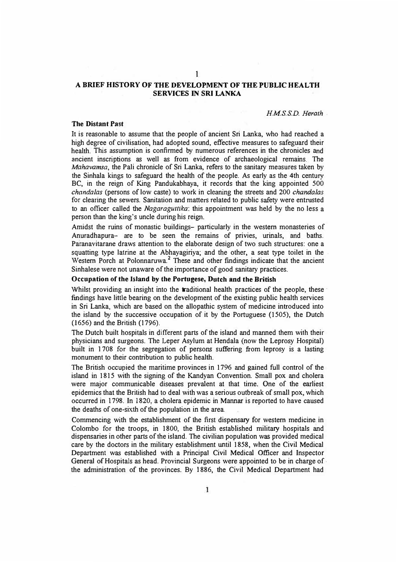## **A BRIEF HISTORY OF THE DEVELOPMENT OF THE PUBLIC HEALTH SERVICES IN SRI LANKA**

**l** 

*HMS.S.D. Heroth.* 

#### **The Distant Past**

**It** is reasonable to assume that the people of ancient Sri Lanka, who had reached a high degree of civilisation, had adopted sound, effective measures to safeguard their health. This assumption is confirmed by numerous references in the chronicles and ancient inscriptions as well as from evidence of archaeological remains. The *Mahavamsa,* the Pali chronicle of Sri Lanka, refers to the sanitary measures taken by the Sinhala kings to safeguard the health of the people. As early as the 4th century BC, in the reign of King Pandukabhaya, it records that the king appointed 500 *chandalas* (persons of low caste) to work in cleaning the streets and 200 *chandalas*  for clearing the sewers. Sanitation and matters related to public safety were entrusted to an officer called the *Nagaraguttika:* this appointment was held by the no less a person than the king's uncle during his reign.

Amidst the ruins of monastic buildings- particularly in the western monasteries of Anuradhapura- are to be seen the remains of privies, urinals, and baths. Paranavitarane draws attention to the elaborate design of two such structures: one a squatting type latrine at the Abhayagiriya; and the other, a seat type toilet in the Western Porch at Polonnaruwa.<sup>2</sup> These and other findings indicate that the ancient Sinhalese were not unaware of the importance of good sanitary practices.

### **Occupation of the Island** by **the Portugese, Dutch and the British**

Whilst providing an insight into the **traditional health** practices of the people, these findings have little bearing on the development of the existing public health services in Sri Lanka, which are based on the allopathic system of medicine introduced into the island by the successive occupation of it by the Portuguese (1505), the Dutch (1656) and the British (1796).

The Dutch built hospitals in different parts of the island and manned them with their physicians and surgeons. The Leper Asylum at Hendala (now the Leprosy Hospital) built in l 708 for the segregation of persons suffering from leprosy is a lasting monument to their contribution to public health.

The British occupied the maritime provinces in 1796 and gained full control of the island in 1815 with the signing of the Kandyan Convention. Small pox and cholera were major communicable diseases prevalent at that time. One of the earliest epidemics that the British had to deal with was a serious outbreak of small pox, which occurred in 1798. In 1820, a cholera epidemic in Mannar is reported to have caused the deaths of one-sixth of the population in the area.

Commencing with the establishment of the first dispensary for western medicine in Colombo for the troops, in 1800, the British established military hospitals and dispensaries in other parts of the island. The civilian population was provided medical care by the doctors in the military establishment until 1858, when the Civil Medical Department was established with a Principal Civil Medical Officer and Inspector General of Hospitals as head. Provincial Surgeons were appointed to be in charge of. the administration of the provinces. By 1886, the Civil Medical Department had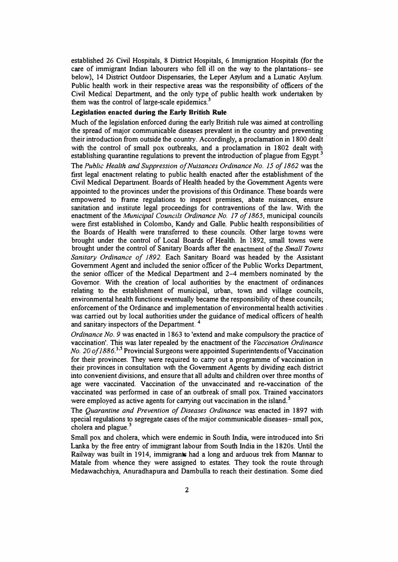established 26 Civil Hospitals, 8 District Hospitals, 6 Immigration Hospitals (for the care of immigrant Indian labourers who fell **ill** on the way to the plantations- see below), 14 District Outdoor Dispensaries, the Leper Asylum and a Lunatic Asylum. Public health work in their respective areas was the responsibility of officers of the Civil Medical Department, and the only type of public health work undertaken by them was the control of large-scale epidemics.<sup>3</sup>

### **Legislation enacted during the Early British Rule**

Much of the legislation enforced during the early British rule was aimed at controlling the spread of major communicable diseases prevalent in the country and preventing their introduction from outside the country. Accordingly, a proclamation in 1800 dealt with the control of small pox outbreaks, and a proclamation in 1802 dealt with establishing quarantine regulations to prevent the introduction of plague from Egypt.<sup>3</sup>

The *Public Health and Suppression of Nuisances Ordinance No. 15 of 1862* was the first legal enactment relating to public health enacted after the establishment of the Civil Medical Department. Boards of Health headed by the Government Agents were appointed to the provinces under the provisions of this Ordinance. These boards were empowered to frame regulations to inspect premises, abate nuisances, ensure sanitation and institute legal proceedings for contraventions of the law. With the enactment of the *Municipal Councils Ordinance No. 17 of 1865*, municipal councils were first established in Colombo, Kandy and Galle. Public health responsibilities of the Boards of Health were transferred to these councils. Other large towns were brought under the control of Local Boards of Health. in 1892, small towns were brought under the control of Sanitary Boards after the enactment of the *Small Towns Sanitary Ordinance of 1892.* Each Sanitary Board was headed by the Assistant Government Agent and included the senior officer of the Public Works Department, the senior officer of the Medical Department and 2-4 members nominated by the Governor. With the creation of local authorities by the enactment of ordinances relating to the establishment of municipal, urban, town and village councils, environmental health functions eventually became the responsibility of these councils; enforcement of the Ordinance and implementation of environmental health activities was carried out by local authorities under the guidance of medical officers of health and sanitary inspectors of the Department. <sup>4</sup>

*Ordinance No. 9* was enacted in 1863 to 'extend and make compulsory the practice of vaccination'. This was later repealed by the enactment of the *Vaccination Ordinance No. 20 of 1886.*<sup>3,5</sup> Provincial Surgeons were appointed Superintendents of Vaccination for their provinces. They were required to carry out a programme of vaccination in their provinces in consultation with the Government Agents by dividing each district into convenient divisions, and ensure that all adults and children over three months of age were vaccinated. Vaccination of the unvaccinated and re-vaccination of the vaccinated was performed in case of an outbreak of small pox. Trained vaccinators were employed as active agents for carrying out vaccination in the island. *<sup>5</sup>*

The *Quarantine and Prevention of Diseases Ordinance* was enacted **in** 1897 with special regulations to segregate cases of the major communicable diseases- small pox, cholera and plague.<sup>3</sup>

Small pox and cholera, which were endemic in South India, were introduced into Sri Lanka by the free entry of immigrant labour from South India in the 1820s. Until the Railway was built in 1914, immigrants had a long and arduous trek from Mannar to Matale from whence they were assigned to estates. They took the route through Medawachchiya, Anuradhapura and Dambulla to reach their destination. Some died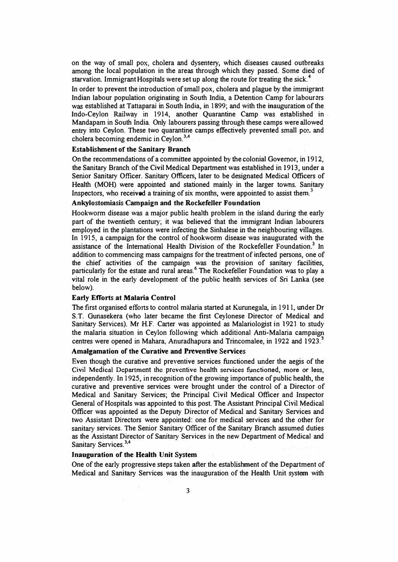**on the way of small pox, cholera and dysentery, which diseases caused outbreaks among the local population in the areas through which they passed. Some died of starvation. Immigrant Hospitals were set up along the route for treating the sick. <sup>4</sup>**

In order to prevent the introduction of small pox, cholera and plague by the immigrant Indian labour population originating in South India, a Detention Camp for labour<sup>2</sup>rs **was established at Tattaparai in South India, in 1899; and with the inauguration of the lndo-Ceylon Railway in 1914, another Quarantine Camp was established in . Mandapam in South India. Only labourers passing through these camps were allowed**  entry into Ceylon. These two quarantine camps effectively prevented small po: and **cholera becoming endemic in Ceylon.<sup>3</sup> ' 4** 

## **Establishment of the Sanitary Branch**

**On the recommendations of a committee appointed by the colonial Governor, in** 1912, **the Sanitary Branch of the Civil Medical Department was established in** 1913; **under a Senior Sanitary Officer. Sanitary Officers, later to be designated Medical Officers of Health (MOH) were appointed and stationed mainly in the larger towns. Sanitary Inspectors, who received a training of six months, were appointed to assist them 3**

## **Ankylostomiasis Campaign and the Rockefeller Foundation**

**Hookworm disease was a major public health problem in the island during the early part of the twentieth century; it was believed that the immigrant Indian labourers employed in the plantations were infecting the Sinhalese in the neighbouring villages. In 1915, a campaign for the control of hookworm disease was inaugurated with the assistance of the International Health Division of the Rockefeller Foundation.3 In addition to commencing mass campaigns for the treatment of infected persons, one of the chief activities of the campaign was the provision of sanitary facilities, particularly for the estate and rural areas.**<sup>6</sup>**The Rockefeller Foundation was to play a vital role in the early development of the public health services of Sri Lanka (see below).** 

#### **Early Efforts at Malaria Control**

**The first organised efforts to control malaria started at Kurunegala, in** 1911, **under Dr S.T. Gunasekera (who later became the first Ceylonese Director of Medical and Sanitary Services). Mr H.F. Carter was appointed as Malariologist in** 1921 **to study the malaria situation in Ceylon following which additional Anti-Malaria campaign centres were opened in Mahara, Anuradhapura and Trincomalee, in 1922 and 1923.**<sup>4</sup>

## **Amalgamation of the Curative and Preventive Services**

**Even though the curative and preventive services functioned under the aegis of the**  Civil Medical Department the preventive health services functioned, more or less, **independently. In** 1925, **in recognition of the growing importance of public health, the curative and preventive services were brought under the control of a Director of Medical and Sanitary Services; the Principal Civil Medical Officer and Inspector General of Hospitals was appointed to this post. The Assistant Principal Civil Medical Officer was appointed as the Deputy Director of Medical and Sanitary Services and two Assistant Directors were appointed: one for medical services and the other for sanitary services. The Senior Sanitary Officer of the Sanitary Branch assumed duties as the Assistant Director of Sanitary Services in the new Department of Medical and Sanitary Services. 3 '4** 

### **Inauguration of the Health Unit System**

**One of the early progressive steps taken after the establishment of the Department of Medical and Sanitary Services was the inauguration of the Health Unit system with**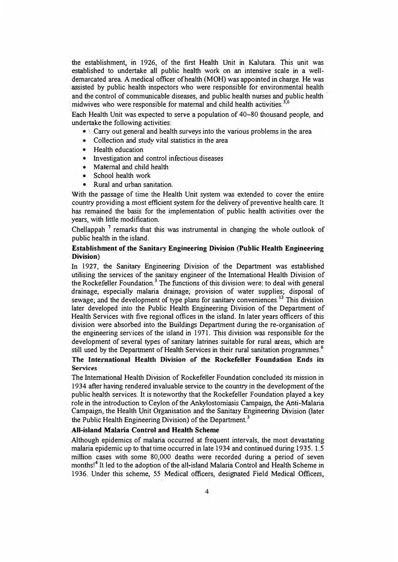the establishment, in 1926, of the first Health Unit in Kalutara. This unit was established to undertake all public health work on an intensive scale in a welldemarcated area. A medical officer of health (MOH) was appointed in charge. He was assisted by public health inspectors who were responsible for environmental health and the control of communicable diseases, and public health nurses and public health midwives who were responsible for maternal and child health activities.  $3,6$ 

Each Health Unit was expected to serve a population of 40-80 thousand people, and undertake the following activities:

- Carry out general and health surveys into the various problems in the area
- Collection and study vital statistics in the area
- Health education
- Investigation and control infectious diseases
- •Maternal and child health
- •School health work
- •Rural and urban sanitation.

With the passage of time the Health Unit system was extended to cover the entire country providing a most efficient system for the delivery of preventive health care. It has remained the basis for the implementation of public health activities over the years, with little modification.

Chellappah<sup>7</sup> remarks that this was instrumental in changing the whole outlook of public health in the island.

## **Establishment of the Sanitary Engineering Division (Public Health Engineering Division)**

In 1927, the Sanitary Engineering Division of the Department was established utilising the services of the sanitary engineer of the International Health Division of the Rockefeller Foundation.<sup>3</sup> The functions of this division were: to deal with general drainage, especially malaria drainage; provision of water supplies; disposal of sewage; and the development of type plans for sanitary conveniences.<sup>13</sup> This division later developed into the Public Health Engineering Division of the Department of Health Services with five regional offices in the island. In later years officers of this division were absorbed into the Buildings Department during the re-organisation of the engineering services of the island in 1971. This division was responsible for the development of several types of sanitary latrines suitable for rural areas, which are still used by the Department of Health Services in their rural sanitation programmes.<sup>6</sup>

# **The International Health Division of the Rockefeller Foundation Ends its Services**

The International Health Division of Rockefeller Foundation concluded its mission in 1934 after having rendered invaluable service to the country in the development of the public health services. It is noteworthy that the Rockefeller Foundation played a key role in the introduction to Ceylon of the Ankylostomiasis Campaign, the Anti-Malaria Campaign, the Health Unit Organisation and the Sanitary Engineering Division (later the Public Health Engineering Division) of the Department.<sup>3</sup>

## **All-island Malaria Control and Health Scheme**

.

Although epidemics of malaria occurred at frequent intervals, the most devastating malaria epidemic up to that time occurred in late 1934 and continued during 1935. 1.5 million cases with some 80,000 deaths were recorded during a period of seven months!<sup>4</sup> It led to the adoption of the all-island Malaria Control and Health Scheme in 1936-. Under this scheme, *55* Medical officers, designated Field Medical Officers,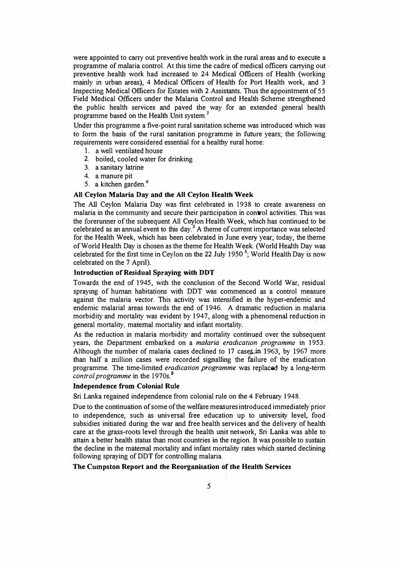were appointed to carry out preventive health work in the rural areas and to execute a programme of malaria control. At this time the cadre of medical officers canying out . preventive heallh work had increased to 24 Medical Officers of Health (working mainly in urban areas), 4 Medical Officers of Health for Port Health work, and 3 Inspecting Medical Officers for Estates with 2 Assistants. Thus the appointment of *55* Field Medical Officers under the Malaria Control and Health Scheme strengthened the public health services and paved the way for an extended general health programme based on the Health Unit system.<sup>3</sup>

Under this programme a five-point rural sanitation scheme was introduced which was to form the basis of the rural sanitation programme in future years; the following requirements were considered essential for a healthy rural home:

- 1. a well ventilated house
- 2. boiled, cooled water for drinking
- 3. a sanitary latrine
- 4. a manure pit
- 5. a kitchen garden.**<sup>6</sup>**

### **All Ceylon Malaria Day and the AJI Ceylon Health Week**

The All Ceylon Malaria Day was first celebrated in 1938 to create awareness on malaria in the community and secure their participation in control activities. This was the forerunner of the subsequent All Ceylon Health Week, which has continued to be celebrated as an annual event to this day.<sup>3</sup> A theme of current importance was selected for the Health Week, which has been celebrated in June every year; today, the theme of World Health Day is chosen as the theme for Health Week. (World Health Day was celebrated for the first time in Ceylon on the 22 July 1950 **3;** World Health Day is now celebrated on the 7 April).

#### **Introduction of Residual Spraying with DDT**

Towards the end of 1945, with the conclusion of the Second World War, residual spraying of human habitations with DDT was commenced as a control measure against the malaria vector. This activity was intensified in the hyper-endemic and endemic malarial areas towards the end of 1946. A dramatic reduction in malaria morbidity and mortality was evident by 1947, along with a phenomenal reduction in general mortality, maternal mortality and infant mortality.

As the reduction in malaria morbidity and mortality continued over the subsequent years, the Department embarked on a *malaria eradication programme* in 1953. Although the number of malaria cases declined to  $17$  cases in 1963, by 1967 more than half a million cases were recorded signalling the failure of the eradication programme. The time-limited *eradication programme* was replaced by a long-term *control programme* in the 1970s.<sup>8</sup>

## **Independence from Colonial Rule**

Sri Lanka regained independence from colonial rule on the 4 February 1948.

Due to the continuation of some of the welfare measures introduced immediately prior to independence, such as universal free education up to university level, food subsidies initiated during the war and free health services and the delivery of health care at the grass-roots level through the health unit network, Sri Lanka was able to attain a better health status than most countries in the region. It was possible to sustain the decline in the maternal mortality and infant mortality rates which started declining following spraying of DDT for controlling malaria.

### **The Cumpston Report and the Reorganisation of the Health Services**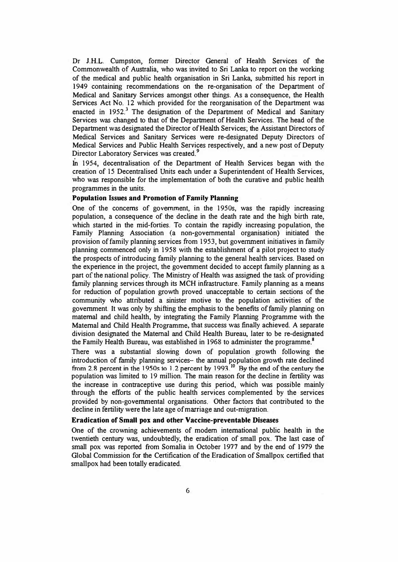**Dr J.H.L.** Cumpston, former- Director General of Health Services of the Commonwealth of Australia, who was invited to Sri Lanka to report on the working of the medical and public health organisation in Sri Lanka, submitted his report in 1949 containing recommendations on the re-organisation of the Department of Medical and Sanitary Services amongst other things. As a consequence, the Health Services Act No. 12 which provided for the reorganisation of the Department was enacted in 1952.<sup>3</sup> The designation of the Department of Medical and Sanitary Services was changed to that of the Department of Health Services. The head of the Department was designated the Director of Health Services; the Assistant Directors of Medical Services and Sanitary Services were re-designated Deputy Directors of Medical Services and Public Health Services respectively, and a new post of Deputy Director Laboratory Services was created.**<sup>9</sup>**

Jn 1954, decentralisation of the Department of Health Services began with the creation of 15 Decentralised Units each under a Superintendent of Health Services, who was responsible for the implementation of both the curative and public health programmes in the units.

## **Population Issues and Promotion of Family Planning**

One of the concerns of government, in the 1950s, was the rapidly increasing population, a consequence of the decline in the death rate and the high birth rate, which started in the mid-forties. To contain the rapidly increasing population, the Family Planning Association (a non-governmental organisation) initiated the provision of family planning services from 1953, but government initiatives in family planning commenced only in 1958 with the establishment of a pilot project to study the prospects of introducing family planning to the general health services. Based on the experience in the project, the government decided to accept family planning as a part of the national policy. The Ministry of Health was assigned the task of providing family planning services through its MCH infrastructure. Family planning as a means for reduction of population growth proved unacceptable to certain sections of the community who attributed a sinister motive to the population activities of the government. It was only by shifting the emphasis to the benefits offamily planning on maternal and child health, by integrating the Family Planning Programme with the Maternal and Child Health Programme, that success was finally achieved. A separate division designated the Maternal and Child Health Bureau, later to be re-designated the Family Health Bureau, was established in 1968 to administer the programme. **<sup>8</sup>**

There was a substantial slowing down of population growth following the introduction of family planning services- the annual population growth rate declined **from 2.8 percent in the l** 950� to **l.2 percent by** 1993. **<sup>10</sup>By the end** of **the** century **the** population was limited to 19 mi!Jion. The main reason for the decline in fertility was the increase in contraceptive use during this period, which was possible mainly through the efforts of the public health services complemented by the services provided by non-governmental organisations. Other factors that contributed to the decline in fertility were the late age of marriage and out-migration.

#### **Eradication of Small pox and other Vaccine-preventable Diseases**

One of the crowning achievements of modern international public health in the twentieth century was, undoubtedly, the eradication of small pox. The last case of small pox was reported from Somalia in October 1977 and by the end of 1979 the Global Commission for the Certification of the Eradication of Smallpox certified that smallpox had been totally eradicated.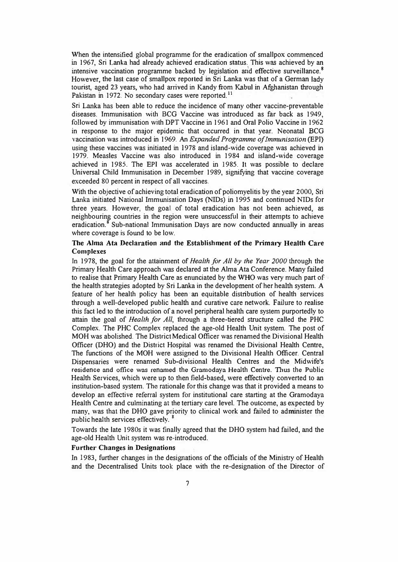When the intensified global programme for the eradication of smallpox commenced in 1967, Sri Lanka had already achieved eradication status. This was achieved by an intensive vaccination programme backed by legislation arid effective surveillance. **<sup>8</sup>** However, the last case of smallpox reported in Sri Lanka was that of a German lady tourist, aged 23 years, who bad arrived in Kandy from Kabul in Afghanistan through Pakistan in 1972. No secondary cases were reported.<sup>11</sup>

Sri Lanka has been able to reduce the incidence of many other vaccine-preventable diseases. Immunisation with BCG Vaccine was introduced as far back as 1949, followed by immunisation with DPT Vaccine in 1961 and Oral Polio Vaccine in 1962 in response to the major epidemic that occurred in that year. Neonatal BCG vaccination was introduced in 1969. An *Expanded Programme of Immunisation* (EPI) using these vaccines was initiated in 1978 and island-wide coverage was achieved in 1979. Measles Vaccine was also introduced in 1984 and island-wide coverage achieved in 1985. The EPI was accelerated in 1985. It was possible to declare Universal Child Immunisation in December 1989, signifying that vaccine coverage exceeded 80 percent in respect of all vaccines.

With the objective of achieving total eradication of poliomyelitis by the year 2000, Sri Lanka initiated National Immunisation Days (NIDs) in 1995 and continued NIDs for three years. However, the goal of total eradication has not been achieved, as neighbouring countries in the region were unsuccessful in their attempts to achieve eradication.<sup>8</sup> Sub-national Immunisation Days are now conducted annually in areas where coverage is found to be low.

## **The Alma Ata Declaration and the Establishment of the Primary Health Care Complexes**

Io 1978, the goal for the attainment of *Health for All by the Year 2000* through the Primary Health Care approach was declared at the Alma Ata Conference. Many failed to realise that Primary Health Care as enunciated by the WHO was very much part of the health strategies adopted by Sri Lanka in the development of her health system. A feature of her health policy has been· an equitable distribution of health services through a well-developed public health and curative care network. Failure to realise this fact led to the introduction of a novel peripheral health care system purportedly to attain the goal of *Health for All*, through a three-tiered structure called the PHC Complex. The PHC Complex replaced the age-old Health Unit system. The post of MOH was abolished. The District Medical Officer was renamed the Divisional Health Officer (DHO) and the District Hospital was renamed the Divisional Health Centre, The functions of the MOH were assigned to the Divisional Health Officer. Central Dispensaries were renamed Sub-divisional Health Centres and the Midwife's residence and office was renamed the Gramodaya Health Centre. Thus the Public Health Services, which were up to then field-based, were effectively converted to an institution-based system. The rationale for this change was that it provided a means to develop an effective referral system for institutional care starting at the Gramodaya Health Centre and culminating at the tertiary care level. The outcome, as expected by many, was that the DHO gave priority to clinical work and failed to administer the public health services effectively.

Towards the late 1980s it was finally agreed that the DHO system had failed, and the age-old Health Unit system was re-introduced.

### **Further Changes in Designations**

In 1983, further changes in the designations of the officials of the Ministry of Health and the Decentralised Units took place with the re-designation of the Director of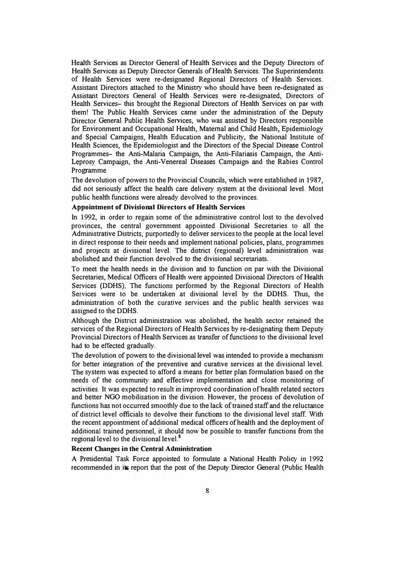Health Services as Director General of Health Services and the Deputy Directors of Health Services as Deputy Director Generals of Health Services. The Superintendents of Health Services were re-designated Regional Directors of Health Services. Assistant Directors attached to the Ministry who should have been re-designated as Assistant Directors General of Health Services were re-designated, Directors of Health Services- this brought the Regional Directors of Health Services on par with them! The Public Health Services came under the administration of the Deputy Director General Public Health Services, who was assisted by Directors responsible for Environment and Occupational Health, Maternal and Child Health, Epidemiology and Special Campaigns, Health Education and Publicity, the National Institute of Health Sciences, the Epidemiologist and the Directors of the Special Disease Control Programmes- the Anti-Malaria Campaign, the Anti-Filariasis Campaign, the Anti-Leprosy Campaign, the Anti-Venereal Diseases Campaign and the Rabies Control Programme

The devolution of powers to the Provincial Councils, which were established in 1987, did not seriously affect the health care delivery system at the divisional level. Most public health functions were already devolved to the provinces.

## **Appointment of Divisional Directors of Health Services**

In 1992, in order to regain some of the administrative control lost to the devolved provinces, the central government appointed Divisional Secretaries to all the Administrative Districts, purportedly to deliver services to the people at the local level in direct response to their needs and implement national policies, plans, programmes and projects at divisional level. The district (regional) level administration was abolished and their function devolved to the divisional secretariats.

To meet the health needs in the division and to function on par with the Divisional Secretaries, Medical Officers of Health were appointed Divisional Directors of Health Services (DDHS). The functions performed by the Regional Directors of Health Services were to be undertaken at divisional level by the OOHS. Thus, the administration of both the curative services and the public health services was assigned to the DDHS.

Although the District administration was abolished, the health sector retained the services of the Regional Directors of Health Services by re-designating them Deputy Provincial Directors of Health Services as transfer of functions to the divisional level had to be effected gradually.

The devolution of powers to the divisional level was intended to provide a mechanism for better integration of the preventive and curative services at the divisional level. The system was expected to afford a means for better plan formulation based on the needs of the community and effective implementation and close monitoring of activities. It was expected to result in improved coordination of health related sectors and better NGO mobilisation in the division. However, the process of devolution of functions has not occurred smoothly due to the lack of trained staff and the reluctance of district level officials to devolve their functions to the divisional level staff. With the recent appointment of additional medical officers of health and the deployment of additional trained personnel, it should now be possible to transfer functions from the regional level to the divisional level.<sup>8</sup>

### **Recent Changes in the Central Administration**

A Presidential Task Force appointed to formulate a National Health Policy in 1992 recommended in its report that the post of the Deputy Director General (Public Health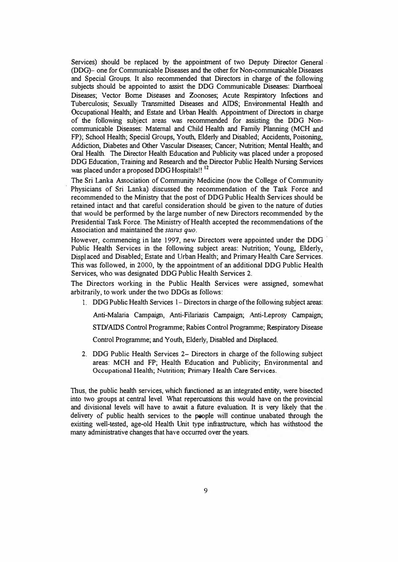Services) should be replaced by the appointment of two Deputy Director General · (DDG)- one for Communicable Diseases and the other for Non-communicable Diseases and Special Groups. It also recommended that Directors in charge of the following subjects should be appointed to assist the DDG Communicable Diseases: Diarrhoeal Diseases; Vector Borne Diseases and Zoonoses; Acute Respiratory Infections and Tuberculosis; Sexually Transmitted Diseases and AIDS; Environmental Health and Occupational Health; and Estate and Urban Health. Appointment of Directors in charge of the following subject areas was recommended for assisting the DDG Noncommunicable Diseases: Maternal and Child Health and Family Planning (MCH and FP); School Health; Special Groups, Youth, Elderly and Disabled; Accidents, Poisoning, Addiction, Diabetes and Other Vascular Diseases; Cancer; Nutrition; Mental Health; and Oral Health. The Director Health Education and Publicity was placed under a proposed DDG Education, Training and Research and the Director Public Health Nursing Services was placed under a proposed DDG Hospitals!! **<sup>12</sup>**

The Sri Lanka Association of Community Medicine (now the College of Community Physicians of Sri Lanka) discussed the recommendation of the Task Force and recommended to the Ministry that the post of DDG Public Health Services should be retained intact and that careful consideration should be given to the nature of duties that would be performed by the large number of new Directors recommended by the Presidential Task Force. The Ministry of Health accepted the recommendations of the Association and maintained the *status quo.* 

However, commencing in late 1997, new Directors were appointed under the DDG Public Health Services in the following subject areas: Nutrition; Young, Elderly, Displ aced and Disabled; Estate and Urban Health; and Primary Health Care Services. This was followed, in 2000, by the appointment of an additional DDG Public Health Services, who was designated DOG Public Health Services 2.

The Directors working in the Public Health Services were assigned, somewhat arbitrarily, to work under the two DDGs as follows:

l. DDG Public Health Services 1- Directors in charge of the following subject areas:

Anti-Malaria Campaign, Anti-Filariasis Campaign; Anti-Leprosy Campaign;

STD/ AIDS Control Programme; Rabies Control Programme; Respiratory Disease

Control Programme; and Youth, Elderly, Disabled and Displaced.

2. DDG Public Health Services 2- Directors in charge of the following subject areas: MCH and FP; Health Education and Publicity; Environmental and **Occupational Health; Nutrition; Primary Health Care Services.**

Thus, the public health services, which functioned as an integrated entity, were bisected into two groups at central level. What repercussions this would have on the provincial and divisional levels will have to await a future evaluation. It is very likely that the . delivery of public health services to the people will continue unabated through the existing well-tested, age-old Health Unit type infrastructure, which has withstood the many administrative changes that have occurred over the years.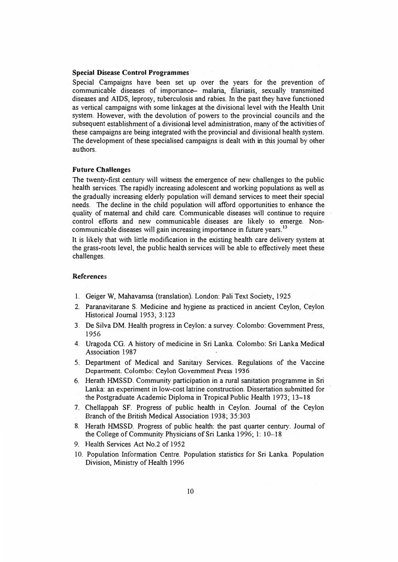#### **Special Disease Control Programmes**

Special Campaigns have been set up over the years for the prevention of communicable diseases of importance- malaria, filariasis, sexually transmitted diseases and AIDS, leprosy, tuberculosis and rabies. In the past they have functioned as vertical campaigns with some linkages at the divisional level with the Health Unit system. However, with the devolution of powers to the provincial councils and the subsequent establishment of a divisional level administration, many of the activities of these campaigns are being integrated with the provincial and divisional health system. The development of these specialised campaigns is dealt with in this journal by other authors.

### **Future Challenges**

The twenty-first century will witness the emergence of new challenges to the public health services. The rapidly increasing adolescent and working populations as well as the gradually increasing elderly population will demand services to meet their special needs. The decline in the child population will afford opportunities to enhance the quality of maternal and child care. Communicable diseases will continue to require control efforts and new communicable diseases are likely to emerge. Noncommunicable diseases will gain increasing importance in future years.<sup>13</sup>

It is likely that with little modification in the existing health care delivery system at the grass-roots level, the public health services will be able to effectively meet these challenges.

#### **References**

- 1. Geiger W, Mahavamsa (translation). London: Pali Text Society, 1925
- 2. Paranavitarane S. Medicine and hygiene as practiced in ancient Ceylon, Ceylon Historical Journal 1953; 3:123
- 3. De Silva DM. Health progress in Ceylon: a survey. Colombo: Government Press, 1956
- 4. Uragoda CG. A history of medicine in Sri Lanka. Colombo: Sri Lanka Medical Association 1987
- *5.* Department of Medical and Sanitazy Services. Regulations of the Vaccine Department. Colombo: Ceylon Government Press 1936
- 6. Herath HMSSD. Community participation in a rural sanitation programme in Sri Lanka: an experiment in low-cost latrine construction. Dissertation submitted for the Postgraduate Academic Diploma in Tropical Public Health 1973; 13-18
- 7. Chellappah SF. Progress of public health in Ceylon. Journal of the Ceylon Branch of the British Medical Association 1938; 35:303
- 8. Herath HMSSD. Progress of public health: the past quarter century. Journal of the College of Community Physicians of Sri Lanka 1996; 1: 10--18
- 9. Health Services Act No.2 of 1952
- 10. Population Information Centre. Population statistics for Sri Lanka. Population Division, Ministry of Health 1996